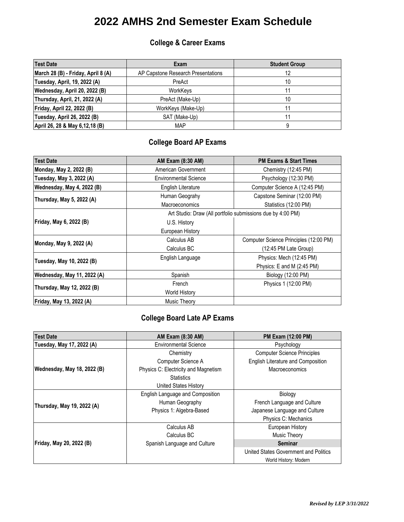#### **College & Career Exams**

| <b>Test Date</b>                   | Exam                               | <b>Student Group</b> |
|------------------------------------|------------------------------------|----------------------|
| March 28 (B) - Friday, April 8 (A) | AP Capstone Research Presentations |                      |
| Tuesday, April, 19, 2022 (A)       | PreAct                             | 10                   |
| Wednesday, April 20, 2022 (B)      | WorkKeys                           |                      |
| Thursday, April, 21, 2022 (A)      | PreAct (Make-Up)                   | 10                   |
| <b>Friday, April 22, 2022 (B)</b>  | WorkKeys (Make-Up)                 |                      |
| Tuesday, April 26, 2022 (B)        | SAT (Make-Up)                      |                      |
| April 26, 28 & May 6, 12, 18 (B)   | <b>MAP</b>                         |                      |

### **College Board AP Exams**

| <b>Test Date</b>            | AM Exam (8:30 AM)                                           | <b>PM Exams &amp; Start Times</b>      |
|-----------------------------|-------------------------------------------------------------|----------------------------------------|
| Monday, May 2, 2022 (B)     | American Government                                         | Chemistry (12:45 PM)                   |
| Tuesday, May 3, 2022 (A)    | <b>Environmental Science</b>                                | Psychology (12:30 PM)                  |
| Wednesday, May 4, 2022 (B)  | English Literature                                          | Computer Science A (12:45 PM)          |
| Thursday, May 5, 2022 (A)   | Human Geograhy                                              | Capstone Seminar (12:00 PM)            |
|                             | Macroeconomics                                              | Statistics (12:00 PM)                  |
|                             | Art Studio: Draw (All portfolio submissions due by 4:00 PM) |                                        |
| Friday, May 6, 2022 (B)     | U.S. History                                                |                                        |
|                             | European History                                            |                                        |
| Monday, May 9, 2022 (A)     | Calculus AB                                                 | Computer Science Principles (12:00 PM) |
|                             | Calculus BC                                                 | (12:45 PM Late Group)                  |
| Tuesday, May 10, 2022 (B)   | English Language                                            | Physics: Mech (12:45 PM)               |
|                             |                                                             | Physics: E and M (2:45 PM)             |
| Wednesday, May 11, 2022 (A) | Spanish                                                     | Biology (12:00 PM)                     |
| Thursday, May 12, 2022 (B)  | French                                                      | Physics 1 (12:00 PM)                   |
|                             | <b>World History</b>                                        |                                        |
| Friday, May 13, 2022 (A)    | Music Theory                                                |                                        |

#### **College Board Late AP Exams**

| <b>Test Date</b>                   | AM Exam (8:30 AM)                    | <b>PM Exam (12:00 PM)</b>             |
|------------------------------------|--------------------------------------|---------------------------------------|
| Tuesday, May 17, 2022 (A)          | <b>Environmental Science</b>         | Psychology                            |
|                                    | Chemistry                            | <b>Computer Science Principles</b>    |
|                                    | Computer Science A                   | English Literature and Composition    |
| <b>Wednesday, May 18, 2022 (B)</b> | Physics C: Electricity and Magnetism | Macroeconomics                        |
|                                    | <b>Statistics</b>                    |                                       |
|                                    | United States History                |                                       |
|                                    | English Language and Composition     | Biology                               |
| Thursday, May 19, 2022 (A)         | Human Geography                      | French Language and Culture           |
|                                    | Physics 1: Algebra-Based             | Japanese Language and Culture         |
|                                    |                                      | Physics C: Mechanics                  |
|                                    | Calculus AB                          | European History                      |
|                                    | Calculus BC                          | Music Theory                          |
| Friday, May 20, 2022 (B)           | Spanish Language and Culture         | <b>Seminar</b>                        |
|                                    |                                      | United States Government and Politics |
|                                    |                                      | World History: Modern                 |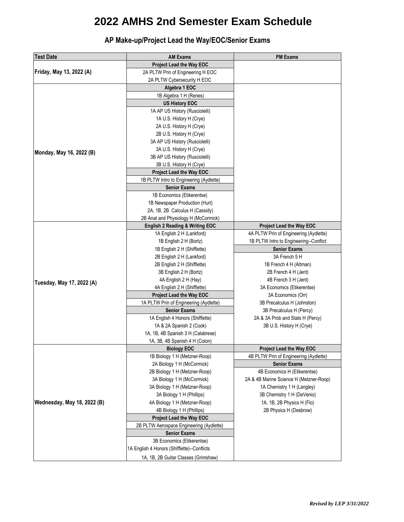**AP Make-up/Project Lead the Way/EOC/Senior Exams**

| Friday, May 13, 2022 (A)<br>Monday, May 16, 2022 (B)<br>Tuesday, May 17, 2022 (A)<br>Wednesday, May 18, 2022 (B) | <b>AM Exams</b>                            | <b>PM Exams</b>                         |
|------------------------------------------------------------------------------------------------------------------|--------------------------------------------|-----------------------------------------|
|                                                                                                                  | <b>Project Lead the Way EOC</b>            |                                         |
|                                                                                                                  | 2A PLTW Prin of Engineering H EOC          |                                         |
|                                                                                                                  | 2A PLTW Cybersecurity H EOC                |                                         |
|                                                                                                                  | Algebra 1 EOC                              |                                         |
|                                                                                                                  | 1B Algebra 1 H (Renes)                     |                                         |
|                                                                                                                  | <b>US History EOC</b>                      |                                         |
|                                                                                                                  | 1A AP US History (Rusciolelli)             |                                         |
|                                                                                                                  | 1A U.S. History H (Crye)                   |                                         |
|                                                                                                                  | 2A U.S. History H (Crye)                   |                                         |
|                                                                                                                  | 2B U.S. History H (Crye)                   |                                         |
|                                                                                                                  | 3A AP US History (Rusciolelli)             |                                         |
|                                                                                                                  | 3A U.S. History H (Crye)                   |                                         |
|                                                                                                                  | 3B AP US History (Rusciolelli)             |                                         |
|                                                                                                                  | 3B U.S. History H (Crye)                   |                                         |
|                                                                                                                  | Project Lead the Way EOC                   |                                         |
|                                                                                                                  | 1B PLTW Intro to Engineering (Aydlette)    |                                         |
|                                                                                                                  | <b>Senior Exams</b>                        |                                         |
|                                                                                                                  | 1B Economics (Etikerentse)                 |                                         |
|                                                                                                                  | 1B Newspaper Production (Hurt)             |                                         |
|                                                                                                                  | 2A, 1B, 2B Calculus H (Cassidy)            |                                         |
|                                                                                                                  | 2B Anat and Physiology H (McCormick)       |                                         |
|                                                                                                                  | <b>English 2 Reading &amp; Writing EOC</b> | <b>Project Lead the Way EOC</b>         |
|                                                                                                                  | 1A English 2 H (Lankford)                  | 4A PLTW Prin of Engineering (Aydlette)  |
|                                                                                                                  | 1B English 2 H (Bortz)                     | 1B PLTW Intro to Engineering--Conflict  |
|                                                                                                                  | 1B English 2 H (Shifflette)                | <b>Senior Exams</b>                     |
|                                                                                                                  | 2B English 2 H (Lankford)                  | 3A French 5 H                           |
|                                                                                                                  | 2B English 2 H (Shifflette)                | 1B French 4 H (Altman)                  |
|                                                                                                                  | 3B English 2 H (Bortz)                     | 2B French 4 H (Jent)                    |
|                                                                                                                  | 4A English 2 H (Hay)                       | 4B French 3 H (Jent)                    |
|                                                                                                                  | 4A English 2 H (Shifflette)                | 3A Economics (Etikerentse)              |
|                                                                                                                  | <b>Project Lead the Way EOC</b>            | 3A Economics (Orr)                      |
|                                                                                                                  | 1A PLTW Prin of Engineering (Aydlette)     | 3B Precalculus H (Johnston)             |
|                                                                                                                  | <b>Senior Exams</b>                        | 3B Precalculus H (Percy)                |
|                                                                                                                  | 1A English 4 Honors (Shifflette)           | 2A & 3A Prob and Stats H (Percy)        |
|                                                                                                                  | 1A & 2A Spanish 2 (Cook)                   | 3B U.S. History H (Crye)                |
|                                                                                                                  | 1A, 1B, 4B Spanish 3 H (Calabrese)         |                                         |
|                                                                                                                  | 1A, 3B, 4B Spanish 4 H (Colon)             |                                         |
|                                                                                                                  | <b>Biology EOC</b>                         | <b>Project Lead the Way EOC</b>         |
|                                                                                                                  | 1B Biology 1 H (Metzner-Roop)              | 4B PLTW Prin of Engineering (Aydlette)  |
|                                                                                                                  | 2A Biology 1 H (McCormick)                 | <b>Senior Exams</b>                     |
|                                                                                                                  | 2B Biology 1 H (Metzner-Roop)              | 4B Economics H (Etikerentse)            |
|                                                                                                                  | 3A Biology 1 H (McCormick)                 | 2A & 4B Marine Science H (Metzner-Roop) |
|                                                                                                                  | 3A Biology 1 H (Metzner-Roop)              | 1A Chemistry 1 H (Langley)              |
|                                                                                                                  | 3A Biology 1 H (Phillips)                  | 3B Chemistry 1 H (DeVenio)              |
|                                                                                                                  | 4A Biology 1 H (Metzner-Roop)              | 1A, 1B, 2B Physics H (Flo)              |
|                                                                                                                  | 4B Biology 1 H (Phillips)                  | 2B Physics H (Desbrow)                  |
|                                                                                                                  | <b>Project Lead the Way EOC</b>            |                                         |
|                                                                                                                  | 2B PLTW Aerospace Engineering (Aydlette)   |                                         |
|                                                                                                                  | <b>Senior Exams</b>                        |                                         |
|                                                                                                                  | 3B Economics (Etikerentse)                 |                                         |
| 1A English 4 Honors (Shifflette)--Conflicts                                                                      |                                            |                                         |
|                                                                                                                  | 1A, 1B, 2B Guitar Classes (Grimshaw)       |                                         |
|                                                                                                                  |                                            |                                         |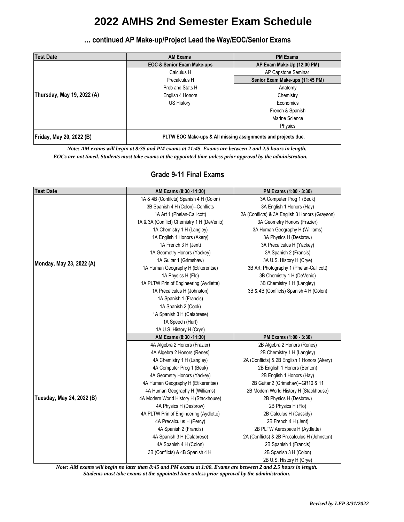**… continued AP Make-up/Project Lead the Way/EOC/Senior Exams**

| <b>Test Date</b>           | <b>AM Exams</b>                                               | <b>PM Exams</b>                 |
|----------------------------|---------------------------------------------------------------|---------------------------------|
|                            | <b>EOC &amp; Senior Exam Make-ups</b>                         | AP Exam Make-Up (12:00 PM)      |
|                            | Calculus H                                                    | AP Capstone Seminar             |
|                            | Precalculus H                                                 | Senior Exam Make-ups (11:45 PM) |
|                            | Prob and Stats H                                              | Anatomy                         |
| Thursday, May 19, 2022 (A) | English 4 Honors                                              | Chemistry                       |
|                            | US History                                                    | Economics                       |
|                            |                                                               | French & Spanish                |
|                            |                                                               | Marine Science                  |
|                            |                                                               | Physics                         |
| Friday, May 20, 2022 (B)   | PLTW EOC Make-ups & All missing assignments and projects due. |                                 |

*Note: AM exams will begin at 8:35 and PM exams at 11:45. Exams are between 2 and 2.5 hours in length.*

 *EOCs are not timed. Students must take exams at the appointed time unless prior approval by the administration.*

#### **Grade 9-11 Final Exams**

| <b>Test Date</b>          | AM Exams (8:30 -11:30)                     | PM Exams (1:00 - 3:30)                         |
|---------------------------|--------------------------------------------|------------------------------------------------|
|                           | 1A & 4B (Confilcts) Spanish 4 H (Colon)    | 3A Computer Prog 1 (Beuk)                      |
|                           | 3B Spanish 4 H (Colon)--Conflicts          | 3A English 1 Honors (Hay)                      |
|                           | 1A Art 1 (Phelan-Callicott)                | 2A (Conflicts) & 3A English 3 Honors (Grayson) |
|                           | 1A & 3A (Conflict) Chemistry 1 H (DeVenio) | 3A Geometry Honors (Frazier)                   |
|                           | 1A Chemistry 1 H (Langley)                 | 3A Human Geography H (Williams)                |
|                           | 1A English 1 Honors (Akery)                | 3A Physics H (Desbrow)                         |
|                           | 1A French 3 H (Jent)                       | 3A Precalculus H (Yackey)                      |
|                           | 1A Geometry Honors (Yackey)                | 3A Spanish 2 (Francis)                         |
| Monday, May 23, 2022 (A)  | 1A Guitar 1 (Grimshaw)                     | 3A U.S. History H (Crye)                       |
|                           | 1A Human Geography H (Etikerentse)         | 3B Art: Photography 1 (Phelan-Callicott)       |
|                           | 1A Physics H (Flo)                         | 3B Chemistry 1 H (DeVenio)                     |
|                           | 1A PLTW Prin of Engineering (Aydlette)     | 3B Chemistry 1 H (Langley)                     |
|                           | 1A Precalculus H (Johnston)                | 3B & 4B (Conflicts) Spanish 4 H (Colon)        |
|                           | 1A Spanish 1 (Francis)                     |                                                |
|                           | 1A Spanish 2 (Cook)                        |                                                |
|                           | 1A Spanish 3 H (Calabrese)                 |                                                |
|                           | 1A Speech (Hurt)                           |                                                |
|                           | 1A U.S. History H (Crye)                   |                                                |
|                           | AM Exams (8:30 -11:30)                     | PM Exams (1:00 - 3:30)                         |
|                           | 4A Algebra 2 Honors (Frazier)              | 2B Algebra 2 Honors (Renes)                    |
|                           | 4A Algebra 2 Honors (Renes)                | 2B Chemistry 1 H (Langley)                     |
|                           | 4A Chemistry 1 H (Langley)                 | 2A (Conflicts) & 2B English 1 Honors (Akery)   |
|                           | 4A Computer Prog 1 (Beuk)                  | 2B English 1 Honors (Benton)                   |
|                           | 4A Geometry Honors (Yackey)                | 2B English 1 Honors (Hay)                      |
|                           | 4A Human Geography H (Etikerentse)         | 2B Guitar 2 (Grimshaw)--GR10 & 11              |
| Tuesday, May 24, 2022 (B) | 4A Human Geography H (Williams)            | 2B Modern World History H (Stackhouse)         |
|                           | 4A Modern World History H (Stackhouse)     | 2B Physics H (Desbrow)                         |
|                           | 4A Physics H (Desbrow)                     | 2B Physics H (Flo)                             |
|                           | 4A PLTW Prin of Engineering (Aydlette)     | 2B Calculus H (Cassidy)                        |
|                           | 4A Precalculus H (Percy)                   | 2B French 4 H (Jent)                           |
|                           | 4A Spanish 2 (Francis)                     | 2B PLTW Aerospace H (Aydlette)                 |
|                           | 4A Spanish 3 H (Calabrese)                 | 2A (Conflicts) & 2B Precalculus H (Johnston)   |
|                           | 4A Spanish 4 H (Colon)                     | 2B Spanish 1 (Francis)                         |
|                           | 3B (Conflicts) & 4B Spanish 4 H            | 2B Spanish 3 H (Colon)                         |
|                           |                                            | 2B U.S. History H (Crye)                       |

*Note: AM exams will begin no later than 8:45 and PM exams at 1:00. Exams are between 2 and 2.5 hours in length. Students must take exams at the appointed time unless prior approval by the administration.*